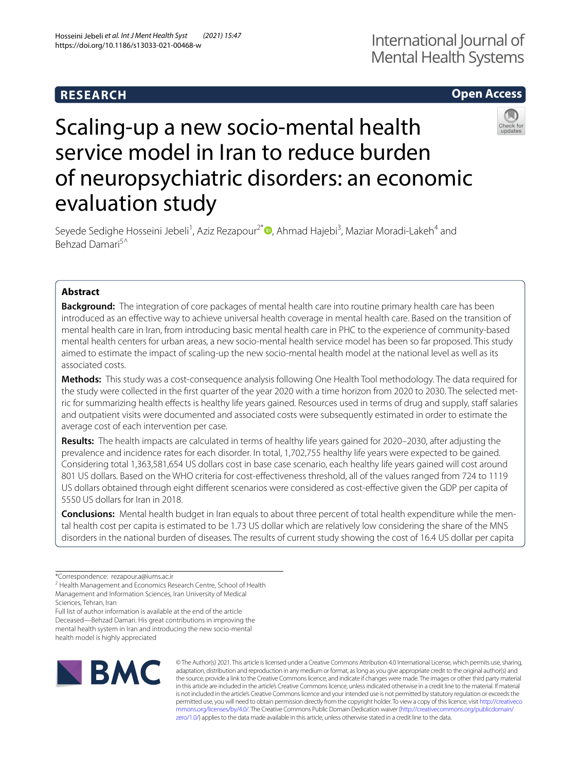# **RESEARCH**

# **Open Access**



# Scaling-up a new socio-mental health service model in Iran to reduce burden of neuropsychiatric disorders: an economic evaluation study

Seyede Sedighe Hosseini Jebeli<sup>1</sup>[,](http://orcid.org/0000-0003-4032-0802) Aziz Rezapour<sup>2\*</sup><sup>®</sup>, Ahmad Hajebi<sup>3</sup>, Maziar Moradi-Lakeh<sup>4</sup> and Behzad Damari<sup>5^</sup>

# **Abstract**

**Background:** The integration of core packages of mental health care into routine primary health care has been introduced as an efective way to achieve universal health coverage in mental health care. Based on the transition of mental health care in Iran, from introducing basic mental health care in PHC to the experience of community-based mental health centers for urban areas, a new socio-mental health service model has been so far proposed. This study aimed to estimate the impact of scaling-up the new socio-mental health model at the national level as well as its associated costs.

**Methods:** This study was a cost-consequence analysis following One Health Tool methodology. The data required for the study were collected in the first quarter of the year 2020 with a time horizon from 2020 to 2030. The selected metric for summarizing health efects is healthy life years gained. Resources used in terms of drug and supply, staf salaries and outpatient visits were documented and associated costs were subsequently estimated in order to estimate the average cost of each intervention per case.

**Results:** The health impacts are calculated in terms of healthy life years gained for 2020–2030, after adjusting the prevalence and incidence rates for each disorder. In total, 1,702,755 healthy life years were expected to be gained. Considering total 1,363,581,654 US dollars cost in base case scenario, each healthy life years gained will cost around 801 US dollars. Based on the WHO criteria for cost-efectiveness threshold, all of the values ranged from 724 to 1119 US dollars obtained through eight diferent scenarios were considered as cost-efective given the GDP per capita of 5550 US dollars for Iran in 2018.

**Conclusions:** Mental health budget in Iran equals to about three percent of total health expenditure while the men‑ tal health cost per capita is estimated to be 1.73 US dollar which are relatively low considering the share of the MNS disorders in the national burden of diseases. The results of current study showing the cost of 16.4 US dollar per capita

Full list of author information is available at the end of the article Deceased—Behzad Damari. His great contributions in improving the mental health system in Iran and introducing the new socio-mental health model is highly appreciated



© The Author(s) 2021. This article is licensed under a Creative Commons Attribution 4.0 International License, which permits use, sharing, adaptation, distribution and reproduction in any medium or format, as long as you give appropriate credit to the original author(s) and the source, provide a link to the Creative Commons licence, and indicate if changes were made. The images or other third party material in this article are included in the article's Creative Commons licence, unless indicated otherwise in a credit line to the material. If material is not included in the article's Creative Commons licence and your intended use is not permitted by statutory regulation or exceeds the permitted use, you will need to obtain permission directly from the copyright holder. To view a copy of this licence, visit [http://creativeco](http://creativecommons.org/licenses/by/4.0/) [mmons.org/licenses/by/4.0/.](http://creativecommons.org/licenses/by/4.0/) The Creative Commons Public Domain Dedication waiver ([http://creativecommons.org/publicdomain/](http://creativecommons.org/publicdomain/zero/1.0/) [zero/1.0/\)](http://creativecommons.org/publicdomain/zero/1.0/) applies to the data made available in this article, unless otherwise stated in a credit line to the data.

<sup>\*</sup>Correspondence: rezapour.a@iums.ac.ir

<sup>&</sup>lt;sup>2</sup> Health Management and Economics Research Centre, School of Health Management and Information Sciences, Iran University of Medical Sciences, Tehran, Iran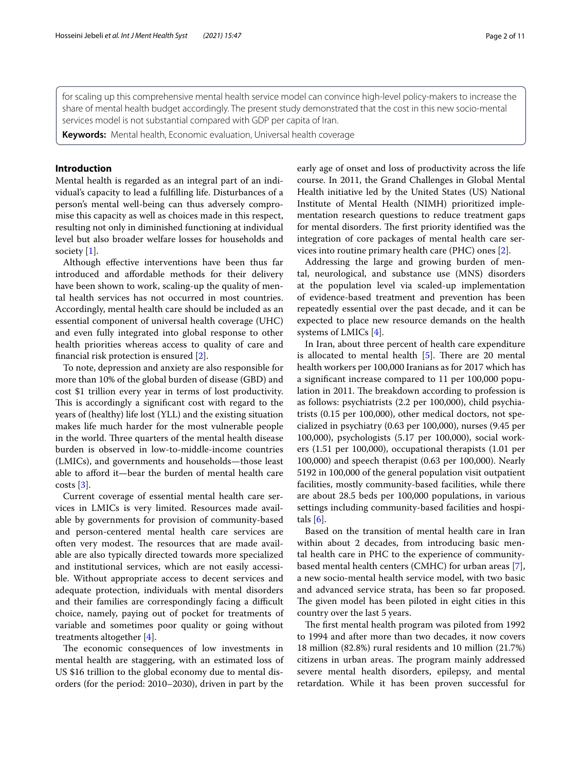for scaling up this comprehensive mental health service model can convince high-level policy-makers to increase the share of mental health budget accordingly. The present study demonstrated that the cost in this new socio-mental services model is not substantial compared with GDP per capita of Iran.

**Keywords:** Mental health, Economic evaluation, Universal health coverage

# **Introduction**

Mental health is regarded as an integral part of an individual's capacity to lead a fulflling life. Disturbances of a person's mental well-being can thus adversely compromise this capacity as well as choices made in this respect, resulting not only in diminished functioning at individual level but also broader welfare losses for households and society [[1\]](#page-10-0).

Although efective interventions have been thus far introduced and afordable methods for their delivery have been shown to work, scaling-up the quality of mental health services has not occurred in most countries. Accordingly, mental health care should be included as an essential component of universal health coverage (UHC) and even fully integrated into global response to other health priorities whereas access to quality of care and fnancial risk protection is ensured [\[2](#page-10-1)].

To note, depression and anxiety are also responsible for more than 10% of the global burden of disease (GBD) and cost \$1 trillion every year in terms of lost productivity. This is accordingly a significant cost with regard to the years of (healthy) life lost (YLL) and the existing situation makes life much harder for the most vulnerable people in the world. Three quarters of the mental health disease burden is observed in low-to-middle-income countries (LMICs), and governments and households—those least able to aford it—bear the burden of mental health care  $costs [3]$  $costs [3]$ .

Current coverage of essential mental health care services in LMICs is very limited. Resources made available by governments for provision of community-based and person-centered mental health care services are often very modest. The resources that are made available are also typically directed towards more specialized and institutional services, which are not easily accessible. Without appropriate access to decent services and adequate protection, individuals with mental disorders and their families are correspondingly facing a difficult choice, namely, paying out of pocket for treatments of variable and sometimes poor quality or going without treatments altogether [\[4](#page-10-3)].

The economic consequences of low investments in mental health are staggering, with an estimated loss of US \$16 trillion to the global economy due to mental disorders (for the period: 2010–2030), driven in part by the early age of onset and loss of productivity across the life course. In 2011, the Grand Challenges in Global Mental Health initiative led by the United States (US) National Institute of Mental Health (NIMH) prioritized implementation research questions to reduce treatment gaps for mental disorders. The first priority identified was the integration of core packages of mental health care services into routine primary health care (PHC) ones [[2\]](#page-10-1).

Addressing the large and growing burden of mental, neurological, and substance use (MNS) disorders at the population level via scaled-up implementation of evidence-based treatment and prevention has been repeatedly essential over the past decade, and it can be expected to place new resource demands on the health systems of LMICs [\[4](#page-10-3)].

In Iran, about three percent of health care expenditure is allocated to mental health  $[5]$  $[5]$ . There are 20 mental health workers per 100,000 Iranians as for 2017 which has a signifcant increase compared to 11 per 100,000 population in 2011. The breakdown according to profession is as follows: psychiatrists (2.2 per 100,000), child psychiatrists (0.15 per 100,000), other medical doctors, not specialized in psychiatry (0.63 per 100,000), nurses (9.45 per 100,000), psychologists (5.17 per 100,000), social workers (1.51 per 100,000), occupational therapists (1.01 per 100,000) and speech therapist (0.63 per 100,000). Nearly 5192 in 100,000 of the general population visit outpatient facilities, mostly community-based facilities, while there are about 28.5 beds per 100,000 populations, in various settings including community-based facilities and hospitals  $[6]$  $[6]$ .

Based on the transition of mental health care in Iran within about 2 decades, from introducing basic mental health care in PHC to the experience of communitybased mental health centers (CMHC) for urban areas [\[7](#page-10-6)], a new socio-mental health service model, with two basic and advanced service strata, has been so far proposed. The given model has been piloted in eight cities in this country over the last 5 years.

The first mental health program was piloted from 1992 to 1994 and after more than two decades, it now covers 18 million (82.8%) rural residents and 10 million (21.7%) citizens in urban areas. The program mainly addressed severe mental health disorders, epilepsy, and mental retardation. While it has been proven successful for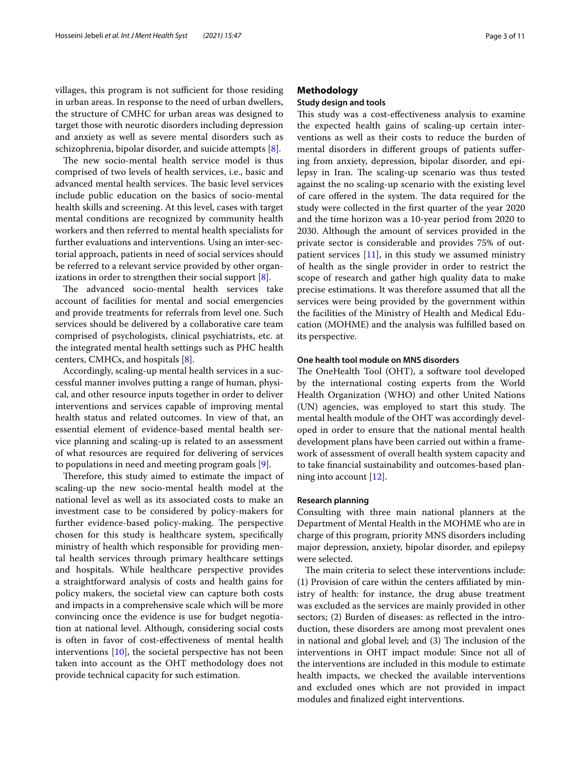villages, this program is not sufficient for those residing in urban areas. In response to the need of urban dwellers, the structure of CMHC for urban areas was designed to target those with neurotic disorders including depression and anxiety as well as severe mental disorders such as schizophrenia, bipolar disorder, and suicide attempts [[8\]](#page-10-7).

The new socio-mental health service model is thus comprised of two levels of health services, i.e., basic and advanced mental health services. The basic level services include public education on the basics of socio-mental health skills and screening. At this level, cases with target mental conditions are recognized by community health workers and then referred to mental health specialists for further evaluations and interventions. Using an inter-sectorial approach, patients in need of social services should be referred to a relevant service provided by other organizations in order to strengthen their social support [[8\]](#page-10-7).

The advanced socio-mental health services take account of facilities for mental and social emergencies and provide treatments for referrals from level one. Such services should be delivered by a collaborative care team comprised of psychologists, clinical psychiatrists, etc. at the integrated mental health settings such as PHC health centers, CMHCs, and hospitals [\[8](#page-10-7)].

Accordingly, scaling-up mental health services in a successful manner involves putting a range of human, physical, and other resource inputs together in order to deliver interventions and services capable of improving mental health status and related outcomes. In view of that, an essential element of evidence-based mental health service planning and scaling-up is related to an assessment of what resources are required for delivering of services to populations in need and meeting program goals [[9\]](#page-10-8).

Therefore, this study aimed to estimate the impact of scaling-up the new socio-mental health model at the national level as well as its associated costs to make an investment case to be considered by policy-makers for further evidence-based policy-making. The perspective chosen for this study is healthcare system, specifcally ministry of health which responsible for providing mental health services through primary healthcare settings and hospitals. While healthcare perspective provides a straightforward analysis of costs and health gains for policy makers, the societal view can capture both costs and impacts in a comprehensive scale which will be more convincing once the evidence is use for budget negotiation at national level. Although, considering social costs is often in favor of cost-efectiveness of mental health interventions [[10](#page-10-9)], the societal perspective has not been taken into account as the OHT methodology does not provide technical capacity for such estimation.

# **Methodology**

# **Study design and tools**

This study was a cost-effectiveness analysis to examine the expected health gains of scaling-up certain interventions as well as their costs to reduce the burden of mental disorders in diferent groups of patients sufering from anxiety, depression, bipolar disorder, and epilepsy in Iran. The scaling-up scenario was thus tested against the no scaling-up scenario with the existing level of care offered in the system. The data required for the study were collected in the frst quarter of the year 2020 and the time horizon was a 10-year period from 2020 to 2030. Although the amount of services provided in the private sector is considerable and provides 75% of outpatient services  $[11]$  $[11]$ , in this study we assumed ministry of health as the single provider in order to restrict the scope of research and gather high quality data to make precise estimations. It was therefore assumed that all the services were being provided by the government within the facilities of the Ministry of Health and Medical Education (MOHME) and the analysis was fulflled based on its perspective.

# **One health tool module on MNS disorders**

The OneHealth Tool (OHT), a software tool developed by the international costing experts from the World Health Organization (WHO) and other United Nations (UN) agencies, was employed to start this study. The mental health module of the OHT was accordingly developed in order to ensure that the national mental health development plans have been carried out within a framework of assessment of overall health system capacity and to take fnancial sustainability and outcomes-based planning into account [[12\]](#page-10-11).

# **Research planning**

Consulting with three main national planners at the Department of Mental Health in the MOHME who are in charge of this program, priority MNS disorders including major depression, anxiety, bipolar disorder, and epilepsy were selected.

The main criteria to select these interventions include: (1) Provision of care within the centers afliated by ministry of health: for instance, the drug abuse treatment was excluded as the services are mainly provided in other sectors; (2) Burden of diseases: as refected in the introduction, these disorders are among most prevalent ones in national and global level; and (3) The inclusion of the interventions in OHT impact module: Since not all of the interventions are included in this module to estimate health impacts, we checked the available interventions and excluded ones which are not provided in impact modules and fnalized eight interventions.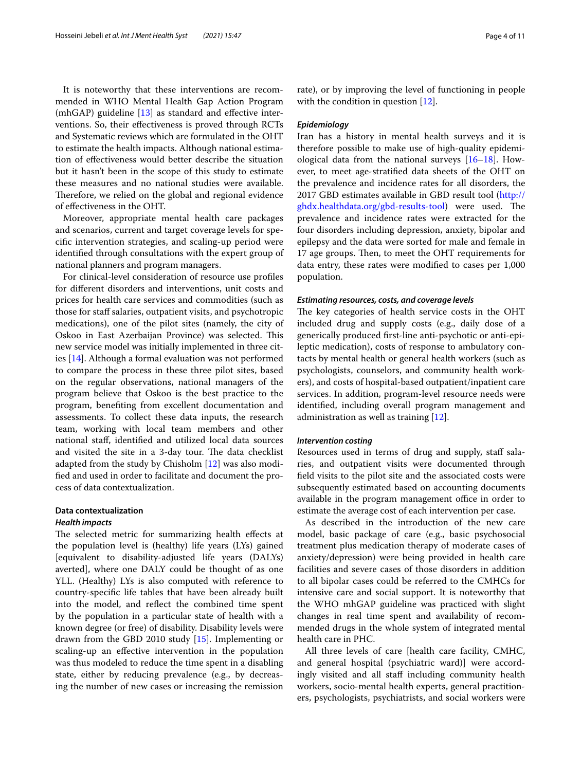It is noteworthy that these interventions are recommended in WHO Mental Health Gap Action Program (mhGAP) guideline  $[13]$  $[13]$  as standard and effective interventions. So, their efectiveness is proved through RCTs and Systematic reviews which are formulated in the OHT to estimate the health impacts. Although national estimation of efectiveness would better describe the situation but it hasn't been in the scope of this study to estimate these measures and no national studies were available. Therefore, we relied on the global and regional evidence of efectiveness in the OHT.

Moreover, appropriate mental health care packages and scenarios, current and target coverage levels for specifc intervention strategies, and scaling-up period were identifed through consultations with the expert group of national planners and program managers.

For clinical-level consideration of resource use profles for diferent disorders and interventions, unit costs and prices for health care services and commodities (such as those for staff salaries, outpatient visits, and psychotropic medications), one of the pilot sites (namely, the city of Oskoo in East Azerbaijan Province) was selected. This new service model was initially implemented in three cities [\[14](#page-10-13)]. Although a formal evaluation was not performed to compare the process in these three pilot sites, based on the regular observations, national managers of the program believe that Oskoo is the best practice to the program, benefting from excellent documentation and assessments. To collect these data inputs, the research team, working with local team members and other national staf, identifed and utilized local data sources and visited the site in a 3-day tour. The data checklist adapted from the study by Chisholm [\[12\]](#page-10-11) was also modifed and used in order to facilitate and document the process of data contextualization.

# **Data contextualization** *Health impacts*

The selected metric for summarizing health effects at the population level is (healthy) life years (LYs) gained [equivalent to disability-adjusted life years (DALYs) averted], where one DALY could be thought of as one YLL. (Healthy) LYs is also computed with reference to country-specifc life tables that have been already built into the model, and refect the combined time spent by the population in a particular state of health with a known degree (or free) of disability. Disability levels were drawn from the GBD 2010 study [[15\]](#page-10-14). Implementing or scaling-up an efective intervention in the population was thus modeled to reduce the time spent in a disabling state, either by reducing prevalence (e.g., by decreasing the number of new cases or increasing the remission rate), or by improving the level of functioning in people with the condition in question [[12](#page-10-11)].

#### *Epidemiology*

Iran has a history in mental health surveys and it is therefore possible to make use of high-quality epidemiological data from the national surveys [\[16–](#page-10-15)[18\]](#page-10-16). However, to meet age-stratifed data sheets of the OHT on the prevalence and incidence rates for all disorders, the 2017 GBD estimates available in GBD result tool [\(http://](http://ghdx.healthdata.org/gbd-results-tool) [ghdx.healthdata.org/gbd-results-tool](http://ghdx.healthdata.org/gbd-results-tool)) were used. The prevalence and incidence rates were extracted for the four disorders including depression, anxiety, bipolar and epilepsy and the data were sorted for male and female in 17 age groups. Then, to meet the OHT requirements for data entry, these rates were modifed to cases per 1,000 population.

#### *Estimating resources, costs, and coverage levels*

The key categories of health service costs in the OHT included drug and supply costs (e.g., daily dose of a generically produced frst-line anti-psychotic or anti-epileptic medication), costs of response to ambulatory contacts by mental health or general health workers (such as psychologists, counselors, and community health workers), and costs of hospital-based outpatient/inpatient care services. In addition, program-level resource needs were identifed, including overall program management and administration as well as training [\[12](#page-10-11)].

## *Intervention costing*

Resources used in terms of drug and supply, staff salaries, and outpatient visits were documented through feld visits to the pilot site and the associated costs were subsequently estimated based on accounting documents available in the program management office in order to estimate the average cost of each intervention per case.

As described in the introduction of the new care model, basic package of care (e.g., basic psychosocial treatment plus medication therapy of moderate cases of anxiety/depression) were being provided in health care facilities and severe cases of those disorders in addition to all bipolar cases could be referred to the CMHCs for intensive care and social support. It is noteworthy that the WHO mhGAP guideline was practiced with slight changes in real time spent and availability of recommended drugs in the whole system of integrated mental health care in PHC.

All three levels of care [health care facility, CMHC, and general hospital (psychiatric ward)] were accordingly visited and all staf including community health workers, socio-mental health experts, general practitioners, psychologists, psychiatrists, and social workers were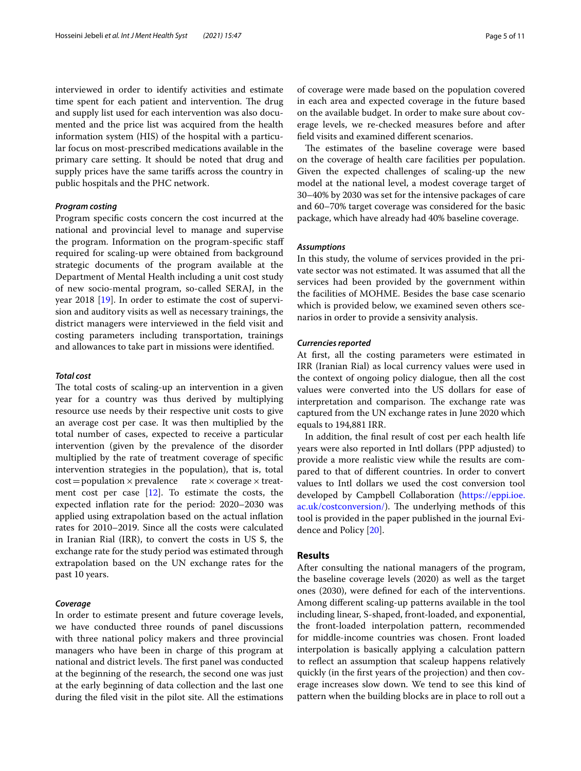interviewed in order to identify activities and estimate time spent for each patient and intervention. The drug and supply list used for each intervention was also documented and the price list was acquired from the health information system (HIS) of the hospital with a particular focus on most-prescribed medications available in the primary care setting. It should be noted that drug and supply prices have the same tarifs across the country in public hospitals and the PHC network.

#### *Program costing*

Program specifc costs concern the cost incurred at the national and provincial level to manage and supervise the program. Information on the program-specifc staf required for scaling-up were obtained from background strategic documents of the program available at the Department of Mental Health including a unit cost study of new socio-mental program, so-called SERAJ, in the year 2018 [\[19](#page-10-17)]. In order to estimate the cost of supervision and auditory visits as well as necessary trainings, the district managers were interviewed in the feld visit and costing parameters including transportation, trainings and allowances to take part in missions were identifed.

### *Total cost*

The total costs of scaling-up an intervention in a given year for a country was thus derived by multiplying resource use needs by their respective unit costs to give an average cost per case. It was then multiplied by the total number of cases, expected to receive a particular intervention (given by the prevalence of the disorder multiplied by the rate of treatment coverage of specifc intervention strategies in the population), that is, total  $cost = population \times prevalence$  rate  $\times coverage \times treat$ ment cost per case  $[12]$ . To estimate the costs, the expected infation rate for the period: 2020–2030 was applied using extrapolation based on the actual infation rates for 2010–2019. Since all the costs were calculated in Iranian Rial (IRR), to convert the costs in US \$, the exchange rate for the study period was estimated through extrapolation based on the UN exchange rates for the past 10 years.

## *Coverage*

In order to estimate present and future coverage levels, we have conducted three rounds of panel discussions with three national policy makers and three provincial managers who have been in charge of this program at national and district levels. The first panel was conducted at the beginning of the research, the second one was just at the early beginning of data collection and the last one during the fled visit in the pilot site. All the estimations of coverage were made based on the population covered in each area and expected coverage in the future based on the available budget. In order to make sure about coverage levels, we re-checked measures before and after feld visits and examined diferent scenarios.

The estimates of the baseline coverage were based on the coverage of health care facilities per population. Given the expected challenges of scaling-up the new model at the national level, a modest coverage target of 30–40% by 2030 was set for the intensive packages of care and 60–70% target coverage was considered for the basic package, which have already had 40% baseline coverage.

# *Assumptions*

In this study, the volume of services provided in the private sector was not estimated. It was assumed that all the services had been provided by the government within the facilities of MOHME. Besides the base case scenario which is provided below, we examined seven others scenarios in order to provide a sensivity analysis.

#### *Currencies reported*

At first, all the costing parameters were estimated in IRR (Iranian Rial) as local currency values were used in the context of ongoing policy dialogue, then all the cost values were converted into the US dollars for ease of interpretation and comparison. The exchange rate was captured from the UN exchange rates in June 2020 which equals to 194,881 IRR.

In addition, the fnal result of cost per each health life years were also reported in Intl dollars (PPP adjusted) to provide a more realistic view while the results are compared to that of diferent countries. In order to convert values to Intl dollars we used the cost conversion tool developed by Campbell Collaboration ([https://eppi.ioe.](https://eppi.ioe.ac.uk/costconversion/) [ac.uk/costconversion/\)](https://eppi.ioe.ac.uk/costconversion/). The underlying methods of this tool is provided in the paper published in the journal Evidence and Policy [[20\]](#page-10-18).

# **Results**

After consulting the national managers of the program, the baseline coverage levels (2020) as well as the target ones (2030), were defned for each of the interventions. Among diferent scaling-up patterns available in the tool including linear, S-shaped, front-loaded, and exponential, the front-loaded interpolation pattern, recommended for middle-income countries was chosen. Front loaded interpolation is basically applying a calculation pattern to refect an assumption that scaleup happens relatively quickly (in the frst years of the projection) and then coverage increases slow down. We tend to see this kind of pattern when the building blocks are in place to roll out a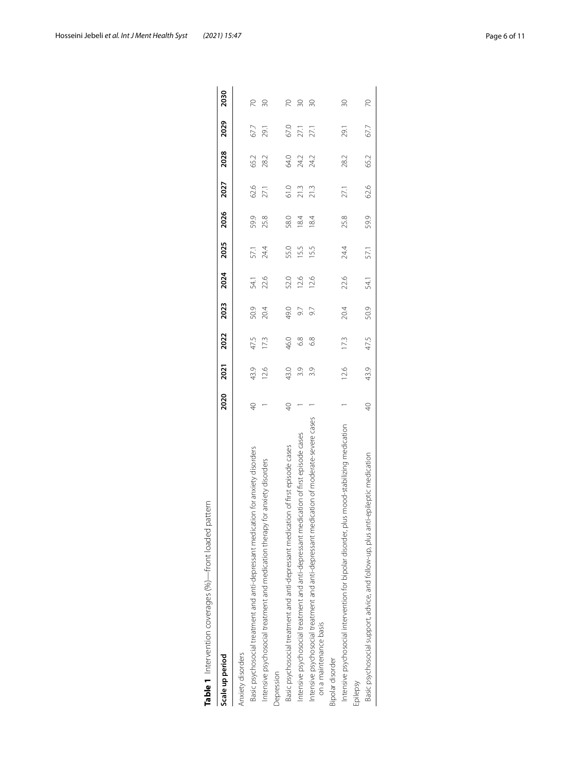| Hosseini Jebeli et al. Int J Ment Health Syst | (2021) 15:47 | Page 6 of 11 |
|-----------------------------------------------|--------------|--------------|
|                                               |              |              |

<span id="page-5-0"></span>

| Scale up period                                                                                                    | 2020            | 2021 | 2022 | 2023 | 2024 | 2025 | 2026 | 2027 | 2028 | 2029 | 2030            |
|--------------------------------------------------------------------------------------------------------------------|-----------------|------|------|------|------|------|------|------|------|------|-----------------|
| Anxiety disorders                                                                                                  |                 |      |      |      |      |      |      |      |      |      |                 |
| Basic psychosocial treatment and anti-depressant medication for anxiety disorders                                  | $\sqrt{4}$      | 43.9 | 47.5 | 50.9 | 54.1 | 57.1 | 59.9 | 62.6 | 65.2 | 67.7 | R               |
| Intensive psychosocial treatment and medication therapy for anxiety disorders                                      |                 | 12.6 | 173  | 20.4 | 22.6 | 24.4 | 25.8 | 27.1 | 28.2 | 29.1 | 20              |
| Depression                                                                                                         |                 |      |      |      |      |      |      |      |      |      |                 |
| Basic psychosocial treatment and anti-depressant medication of first episode cases                                 | $\Theta$        | 43.0 | 46.0 | 49.0 | 52.0 | 55.0 | 58.0 | 61.0 | 64.0 | 67.0 | 20              |
| Intensive psychosocial treatment and anti-depressant medication of first episode cases                             |                 | 3.9  | 6.8  | 9.7  | 12.6 | 15.5 | 184  | 21.3 | 24.2 | 27.1 | $\overline{30}$ |
| Intensive psychosocial treatment and anti-depressant medication of moderate-severe cases<br>on a maintenance basis |                 | 3.9  | 68   | 9.7  | 12.6 | 15.5 | 184  | 21.3 | 24.2 | 27.1 | $\approx$       |
| Bipolar disorder                                                                                                   |                 |      |      |      |      |      |      |      |      |      |                 |
| Intensive psychosocial intervention for bipolar disorder, plus mood-stabilizing medication                         |                 | 12.6 | 173  | 20.4 | 22.6 | 24.4 | 25.8 | 27.1 | 28.2 | 29.1 | $\overline{30}$ |
| Epilepsy                                                                                                           |                 |      |      |      |      |      |      |      |      |      |                 |
| Basic psychosocial support, advice, and follow-up, plus anti-epileptic medication                                  | $\overline{40}$ | 43.9 | 47.5 | 50.9 | 54.1 | 57.1 | 59.9 | 62.6 | 65.2 | 67.7 | 20              |
|                                                                                                                    |                 |      |      |      |      |      |      |      |      |      |                 |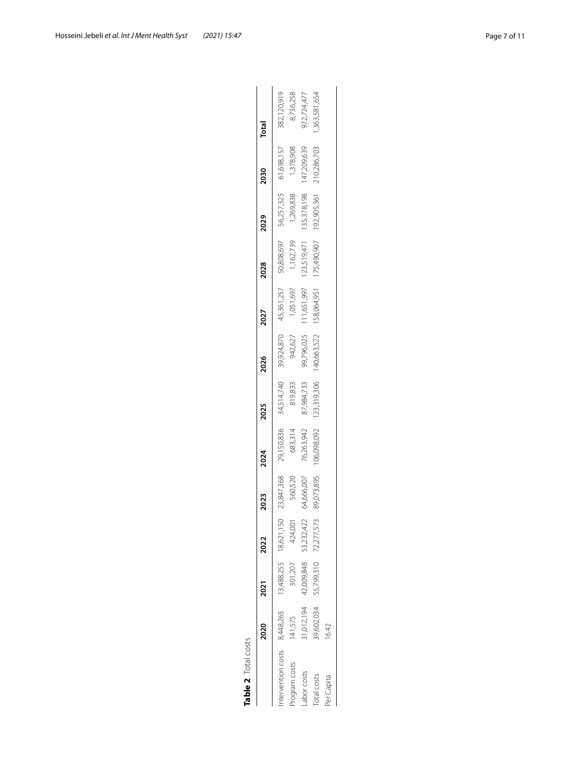<span id="page-6-0"></span>

| Table 2 Total costs        |             |                       |            |            |             |             |             |                                     |             |             |             |              |
|----------------------------|-------------|-----------------------|------------|------------|-------------|-------------|-------------|-------------------------------------|-------------|-------------|-------------|--------------|
|                            | <b>2020</b> | 2021                  | 2022       | 2023       | 2024        | 2025        | 2026        | 2027                                | 2028        | 2029        | 2030        | Total        |
| tervention costs 8,448,265 |             | 13,488,255 18,621,150 |            | 23,847,368 | 29,150,836  | 34,514,740  | 39,924,870  | 45,361,257                          | 50,808,697  | 56,257,325  | 61,698,157  | 382,120,919  |
| rogram costs               | 41,575      | 301,207               | 424,001    | 560,520    | 683,314     | 819,833     | 942,627     | 1,051,697                           | 1,162,739   | 1,269,838   | 1,378,908   | 8,736,258    |
| abor costs                 | 1,012,194   | 42,009,848            | 53,232,422 | 54,666,007 | 76,263,942  | 87,984,733  | 99,796,025  | 111,651,997                         | 123,519,471 | 135,378,198 | 147,209,639 | 972,724,477  |
| otal costs                 | \$9,602,034 | 55,799,310            | 72,277,573 | 89,073,895 | 106,098,092 | 123,319,306 | 140,663,522 | 158,064,951 175,490,907 192,905,361 |             |             | 210,286,703 | ,363,581,654 |
| Per Capita                 | 6.42        |                       |            |            |             |             |             |                                     |             |             |             |              |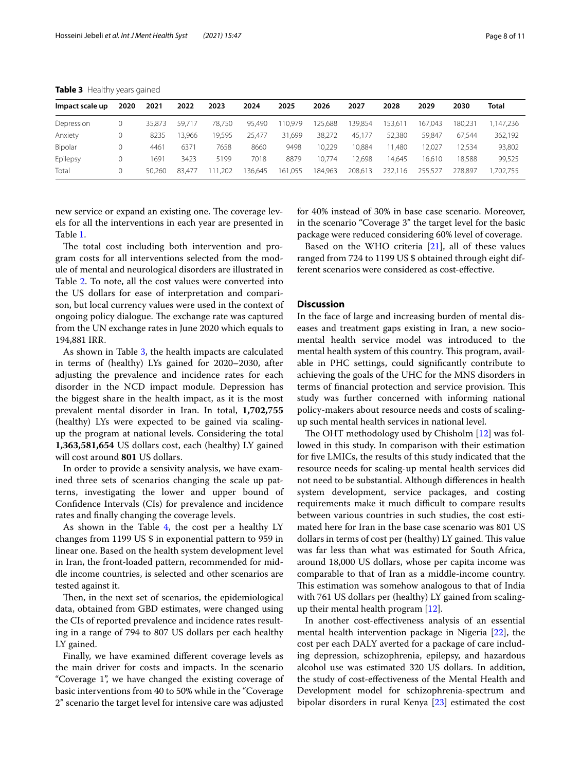| Impact scale up | 2020 | 2021   | 2022   | 2023        | 2024   | 2025         | 2026    | 2027    | 2028    | 2029    | 2030    | Total    |
|-----------------|------|--------|--------|-------------|--------|--------------|---------|---------|---------|---------|---------|----------|
| Depression      | 0    | 35.873 | 59.717 | 78.750      | 95.490 | 110.979      | 125,688 | 139.854 | 153.611 | 167.043 | 180.231 | .147.236 |
| Anxiety         | 0    | 8235   | 13.966 | 9.595       | 25.477 | 31.699       | 38.272  | 45.177  | 52,380  | 59.847  | 67.544  | 362,192  |
| Bipolar         |      | 4461   | 6371   | 7658        | 8660   | 9498         | 10.229  | 10.884  | 11.480  | 12.027  | 2.534   | 93,802   |
| Epilepsy        |      | 1691   | 3423   | 5199        | 7018   | 8879         | 10.774  | 2.698   | 14.645  | 16.610  | 18.588  | 99,525   |
| Total           | 0    | 50.260 | 83.477 | .202<br>-11 | 36.645 | 1.055<br>161 | 184,963 | 208.613 | 232.116 | 255.527 | 278.897 | ,702,755 |

<span id="page-7-0"></span>**Table 3** Healthy years gained

new service or expand an existing one. The coverage levels for all the interventions in each year are presented in Table [1](#page-5-0).

The total cost including both intervention and program costs for all interventions selected from the module of mental and neurological disorders are illustrated in Table [2](#page-6-0). To note, all the cost values were converted into the US dollars for ease of interpretation and comparison, but local currency values were used in the context of ongoing policy dialogue. The exchange rate was captured from the UN exchange rates in June 2020 which equals to 194,881 IRR.

As shown in Table [3](#page-7-0), the health impacts are calculated in terms of (healthy) LYs gained for 2020–2030, after adjusting the prevalence and incidence rates for each disorder in the NCD impact module. Depression has the biggest share in the health impact, as it is the most prevalent mental disorder in Iran. In total, **1,702,755** (healthy) LYs were expected to be gained via scalingup the program at national levels. Considering the total **1,363,581,654** US dollars cost, each (healthy) LY gained will cost around **801** US dollars.

In order to provide a sensivity analysis, we have examined three sets of scenarios changing the scale up patterns, investigating the lower and upper bound of Confdence Intervals (CIs) for prevalence and incidence rates and fnally changing the coverage levels.

As shown in the Table  $4$ , the cost per a healthy LY changes from 1199 US \$ in exponential pattern to 959 in linear one. Based on the health system development level in Iran, the front-loaded pattern, recommended for middle income countries, is selected and other scenarios are tested against it.

Then, in the next set of scenarios, the epidemiological data, obtained from GBD estimates, were changed using the CIs of reported prevalence and incidence rates resulting in a range of 794 to 807 US dollars per each healthy LY gained.

Finally, we have examined diferent coverage levels as the main driver for costs and impacts. In the scenario "Coverage 1", we have changed the existing coverage of basic interventions from 40 to 50% while in the "Coverage 2" scenario the target level for intensive care was adjusted

for 40% instead of 30% in base case scenario. Moreover, in the scenario "Coverage 3" the target level for the basic package were reduced considering 60% level of coverage.

Based on the WHO criteria  $[21]$ , all of these values ranged from 724 to 1199 US \$ obtained through eight different scenarios were considered as cost-efective.

# **Discussion**

In the face of large and increasing burden of mental diseases and treatment gaps existing in Iran, a new sociomental health service model was introduced to the mental health system of this country. This program, available in PHC settings, could signifcantly contribute to achieving the goals of the UHC for the MNS disorders in terms of financial protection and service provision. This study was further concerned with informing national policy-makers about resource needs and costs of scalingup such mental health services in national level.

The OHT methodology used by Chisholm  $[12]$  $[12]$  was followed in this study. In comparison with their estimation for fve LMICs, the results of this study indicated that the resource needs for scaling-up mental health services did not need to be substantial. Although diferences in health system development, service packages, and costing requirements make it much difficult to compare results between various countries in such studies, the cost estimated here for Iran in the base case scenario was 801 US dollars in terms of cost per (healthy) LY gained. This value was far less than what was estimated for South Africa, around 18,000 US dollars, whose per capita income was comparable to that of Iran as a middle-income country. This estimation was somehow analogous to that of India with 761 US dollars per (healthy) LY gained from scalingup their mental health program  $[12]$  $[12]$ .

In another cost-efectiveness analysis of an essential mental health intervention package in Nigeria [\[22](#page-10-20)], the cost per each DALY averted for a package of care including depression, schizophrenia, epilepsy, and hazardous alcohol use was estimated 320 US dollars. In addition, the study of cost-efectiveness of the Mental Health and Development model for schizophrenia-spectrum and bipolar disorders in rural Kenya [[23\]](#page-10-21) estimated the cost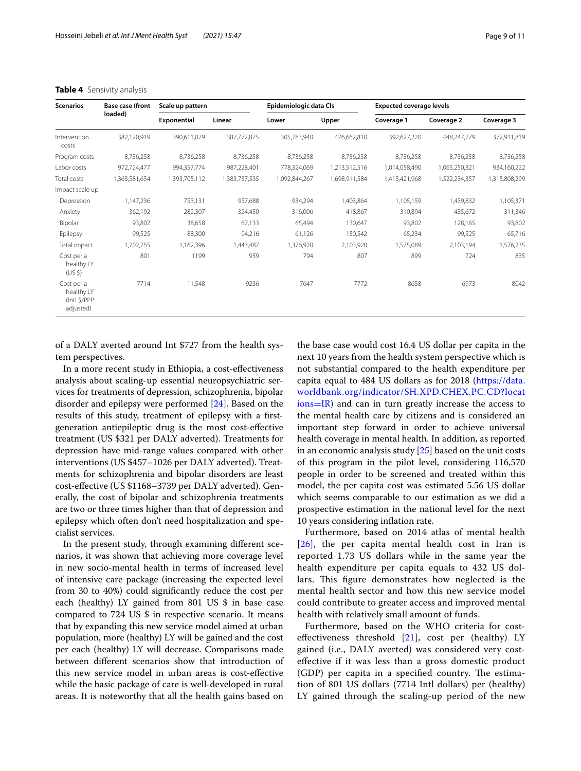| <b>Scenarios</b>                                      | <b>Base case (front</b> | Scale up pattern |               | Epidemiologic data CIs |               | <b>Expected coverage levels</b> |               |               |
|-------------------------------------------------------|-------------------------|------------------|---------------|------------------------|---------------|---------------------------------|---------------|---------------|
|                                                       | loaded)                 | Exponential      | Linear        | Lower                  | Upper         | Coverage 1                      | Coverage 2    | Coverage 3    |
| Intervention<br>costs                                 | 382,120,919             | 390,611,079      | 387,772,875   | 305,783,940            | 476,662,810   | 392,627,220                     | 448,247,779   | 372,911,819   |
| Program costs                                         | 8,736,258               | 8,736,258        | 8,736,258     | 8,736,258              | 8,736,258     | 8,736,258                       | 8,736,258     | 8,736,258     |
| Labor costs                                           | 972,724,477             | 994,357,774      | 987,228,401   | 778,324,069            | 1,213,512,516 | 1,014,058,490                   | 1,065,250,321 | 934,160,222   |
| Total costs                                           | 1,363,581,654           | 1,393,705,112    | 1,383,737,535 | 1,092,844,267          | 1,698,911,584 | 1,415,421,968                   | 1,522,234,357 | 1,315,808,299 |
| Impact scale up                                       |                         |                  |               |                        |               |                                 |               |               |
| Depression                                            | 1,147,236               | 753,131          | 957,688       | 934,294                | 1,403,864     | 1,105,159                       | 1,439,832     | 1,105,371     |
| Anxiety                                               | 362,192                 | 282,307          | 324,450       | 316,006                | 418,867       | 310,894                         | 435,672       | 311,346       |
| Bipolar                                               | 93,802                  | 38,658           | 67,133        | 65,494                 | 130,647       | 93,802                          | 128,165       | 93,802        |
| Epilepsy                                              | 99,525                  | 88,300           | 94,216        | 61,126                 | 150,542       | 65,234                          | 99,525        | 65,716        |
| Total impact                                          | 1,702,755               | 1,162,396        | 1,443,487     | 1,376,920              | 2,103,920     | 1,575,089                       | 2,103,194     | 1,576,235     |
| Cost per a<br>healthy LY<br>(US <sub>5</sub> )        | 801                     | 1199             | 959           | 794                    | 807           | 899                             | 724           | 835           |
| Cost per a<br>healthy LY<br>(Intl \$/PPP<br>adjusted) | 7714                    | 11,548           | 9236          | 7647                   | 7772          | 8658                            | 6973          | 8042          |

#### <span id="page-8-0"></span>**Table 4** Sensivity analysis

of a DALY averted around Int \$727 from the health system perspectives.

In a more recent study in Ethiopia, a cost-efectiveness analysis about scaling-up essential neuropsychiatric services for treatments of depression, schizophrenia, bipolar disorder and epilepsy were performed [\[24\]](#page-10-22). Based on the results of this study, treatment of epilepsy with a frstgeneration antiepileptic drug is the most cost-efective treatment (US \$321 per DALY adverted). Treatments for depression have mid-range values compared with other interventions (US \$457–1026 per DALY adverted). Treatments for schizophrenia and bipolar disorders are least cost-efective (US \$1168–3739 per DALY adverted). Generally, the cost of bipolar and schizophrenia treatments are two or three times higher than that of depression and epilepsy which often don't need hospitalization and specialist services.

In the present study, through examining diferent scenarios, it was shown that achieving more coverage level in new socio-mental health in terms of increased level of intensive care package (increasing the expected level from 30 to 40%) could signifcantly reduce the cost per each (healthy) LY gained from 801 US \$ in base case compared to 724 US \$ in respective scenario. It means that by expanding this new service model aimed at urban population, more (healthy) LY will be gained and the cost per each (healthy) LY will decrease. Comparisons made between diferent scenarios show that introduction of this new service model in urban areas is cost-efective while the basic package of care is well-developed in rural areas. It is noteworthy that all the health gains based on the base case would cost 16.4 US dollar per capita in the next 10 years from the health system perspective which is not substantial compared to the health expenditure per capita equal to 484 US dollars as for 2018 [\(https://data.](https://data.worldbank.org/indicator/SH.XPD.CHEX.PC.CD?locations=IR) [worldbank.org/indicator/SH.XPD.CHEX.PC.CD?locat](https://data.worldbank.org/indicator/SH.XPD.CHEX.PC.CD?locations=IR) [ions](https://data.worldbank.org/indicator/SH.XPD.CHEX.PC.CD?locations=IR)=IR) and can in turn greatly increase the access to the mental health care by citizens and is considered an important step forward in order to achieve universal health coverage in mental health. In addition, as reported in an economic analysis study [\[25](#page-10-23)] based on the unit costs of this program in the pilot level, considering 116,570 people in order to be screened and treated within this model, the per capita cost was estimated 5.56 US dollar which seems comparable to our estimation as we did a prospective estimation in the national level for the next 10 years considering infation rate.

Furthermore, based on 2014 atlas of mental health  $[26]$  $[26]$  $[26]$ , the per capita mental health cost in Iran is reported 1.73 US dollars while in the same year the health expenditure per capita equals to 432 US dollars. This figure demonstrates how neglected is the mental health sector and how this new service model could contribute to greater access and improved mental health with relatively small amount of funds.

Furthermore, based on the WHO criteria for costeffectiveness threshold  $[21]$  $[21]$ , cost per (healthy) LY gained (i.e., DALY averted) was considered very costefective if it was less than a gross domestic product  $(GDP)$  per capita in a specified country. The estimation of 801 US dollars (7714 Intl dollars) per (healthy) LY gained through the scaling-up period of the new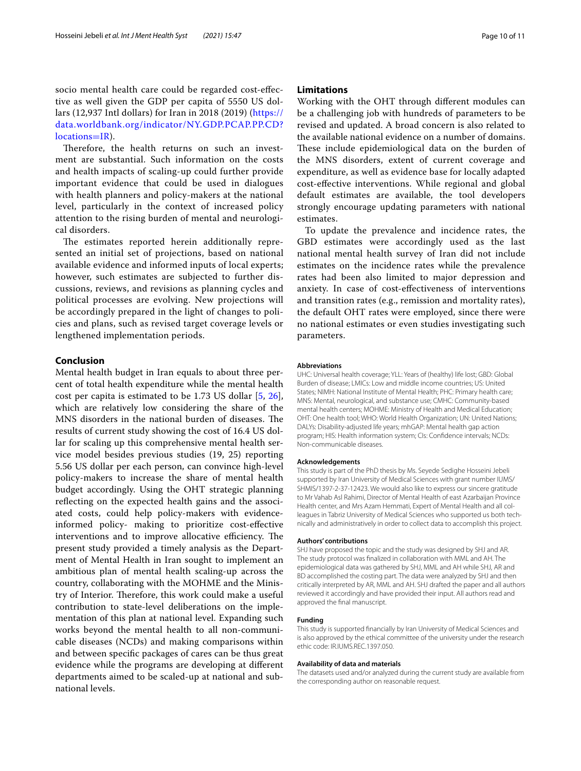socio mental health care could be regarded cost-efective as well given the GDP per capita of 5550 US dollars (12,937 Intl dollars) for Iran in 2018 (2019) [\(https://](https://data.worldbank.org/indicator/NY.GDP.PCAP.PP.CD?locations=IR) [data.worldbank.org/indicator/NY.GDP.PCAP.PP.CD?](https://data.worldbank.org/indicator/NY.GDP.PCAP.PP.CD?locations=IR) [locations](https://data.worldbank.org/indicator/NY.GDP.PCAP.PP.CD?locations=IR)=IR).

Therefore, the health returns on such an investment are substantial. Such information on the costs and health impacts of scaling-up could further provide important evidence that could be used in dialogues with health planners and policy-makers at the national level, particularly in the context of increased policy attention to the rising burden of mental and neurological disorders.

The estimates reported herein additionally represented an initial set of projections, based on national available evidence and informed inputs of local experts; however, such estimates are subjected to further discussions, reviews, and revisions as planning cycles and political processes are evolving. New projections will be accordingly prepared in the light of changes to policies and plans, such as revised target coverage levels or lengthened implementation periods.

# **Conclusion**

Mental health budget in Iran equals to about three percent of total health expenditure while the mental health cost per capita is estimated to be 1.73 US dollar [[5,](#page-10-4) [26](#page-10-24)], which are relatively low considering the share of the MNS disorders in the national burden of diseases. The results of current study showing the cost of 16.4 US dollar for scaling up this comprehensive mental health service model besides previous studies (19, 25) reporting 5.56 US dollar per each person, can convince high-level policy-makers to increase the share of mental health budget accordingly. Using the OHT strategic planning refecting on the expected health gains and the associated costs, could help policy-makers with evidenceinformed policy- making to prioritize cost-efective interventions and to improve allocative efficiency. The present study provided a timely analysis as the Department of Mental Health in Iran sought to implement an ambitious plan of mental health scaling-up across the country, collaborating with the MOHME and the Ministry of Interior. Therefore, this work could make a useful contribution to state-level deliberations on the implementation of this plan at national level. Expanding such works beyond the mental health to all non-communicable diseases (NCDs) and making comparisons within and between specifc packages of cares can be thus great evidence while the programs are developing at diferent departments aimed to be scaled-up at national and subnational levels.

# **Limitations**

Working with the OHT through diferent modules can be a challenging job with hundreds of parameters to be revised and updated. A broad concern is also related to the available national evidence on a number of domains. These include epidemiological data on the burden of the MNS disorders, extent of current coverage and expenditure, as well as evidence base for locally adapted cost-efective interventions. While regional and global default estimates are available, the tool developers strongly encourage updating parameters with national estimates.

To update the prevalence and incidence rates, the GBD estimates were accordingly used as the last national mental health survey of Iran did not include estimates on the incidence rates while the prevalence rates had been also limited to major depression and anxiety. In case of cost-efectiveness of interventions and transition rates (e.g., remission and mortality rates), the default OHT rates were employed, since there were no national estimates or even studies investigating such parameters.

#### **Abbreviations**

UHC: Universal health coverage; YLL: Years of (healthy) life lost; GBD: Global Burden of disease; LMICs: Low and middle income countries; US: United States; NIMH: National Institute of Mental Health; PHC: Primary health care; MNS: Mental, neurological, and substance use; CMHC: Community-based mental health centers; MOHME: Ministry of Health and Medical Education; OHT: One health tool; WHO: World Health Organization; UN: United Nations; DALYs: Disability-adjusted life years; mhGAP: Mental health gap action program; HIS: Health information system; CIs: Confdence intervals; NCDs: Non-communicable diseases.

#### **Acknowledgements**

This study is part of the PhD thesis by Ms. Seyede Sedighe Hosseini Jebeli supported by Iran University of Medical Sciences with grant number IUMS/ SHMIS/1397-2-37-12423. We would also like to express our sincere gratitude to Mr Vahab Asl Rahimi, Director of Mental Health of east Azarbaijan Province Health center, and Mrs Azam Hemmati, Expert of Mental Health and all colleagues in Tabriz University of Medical Sciences who supported us both technically and administratively in order to collect data to accomplish this project.

#### **Authors' contributions**

SHJ have proposed the topic and the study was designed by SHJ and AR. The study protocol was fnalized in collaboration with MML and AH. The epidemiological data was gathered by SHJ, MML and AH while SHJ, AR and BD accomplished the costing part. The data were analyzed by SHJ and then critically interpreted by AR, MML and AH. SHJ drafted the paper and all authors reviewed it accordingly and have provided their input. All authors read and approved the fnal manuscript.

#### **Funding**

This study is supported fnancially by Iran University of Medical Sciences and is also approved by the ethical committee of the university under the research ethic code: IR.IUMS.REC.1397.050.

#### **Availability of data and materials**

The datasets used and/or analyzed during the current study are available from the corresponding author on reasonable request.